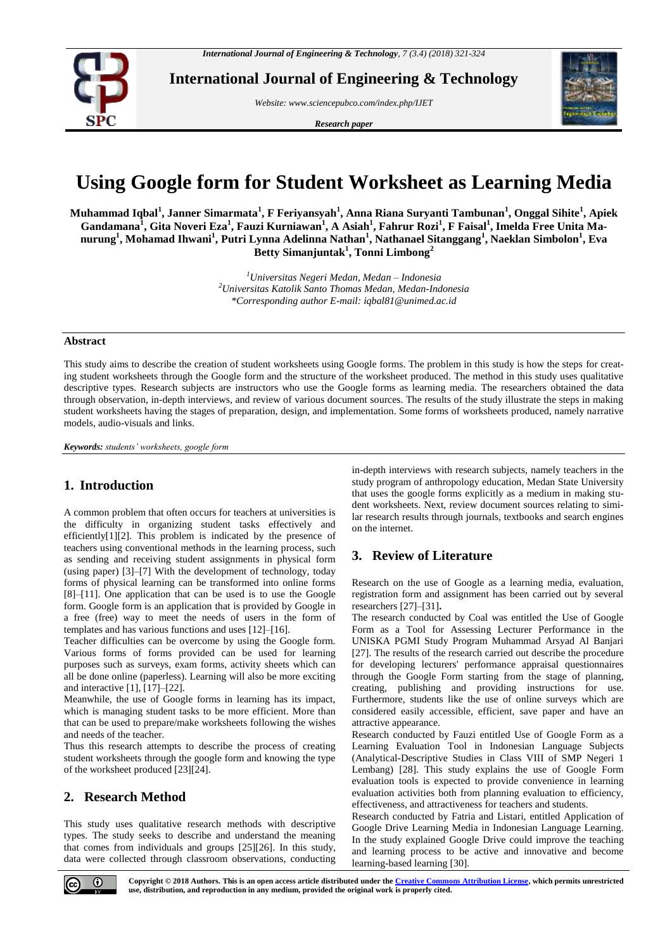

**International Journal of Engineering & Technology**

*Website: www.sciencepubco.com/index.php/IJET* 

*Research paper*



# **Using Google form for Student Worksheet as Learning Media**

**Muhammad Iqbal<sup>1</sup> , Janner Simarmata<sup>1</sup> , F Feriyansyah<sup>1</sup> , Anna Riana Suryanti Tambunan<sup>1</sup> , Onggal Sihite<sup>1</sup> , Apiek Gandamana<sup>1</sup> , Gita Noveri Eza<sup>1</sup> , Fauzi Kurniawan<sup>1</sup> , A Asiah<sup>1</sup> , Fahrur Rozi<sup>1</sup> , F Faisal<sup>1</sup> , Imelda Free Unita Manurung<sup>1</sup> , Mohamad Ihwani<sup>1</sup> , Putri Lynna Adelinna Nathan<sup>1</sup> , Nathanael Sitanggang<sup>1</sup> , Naeklan Simbolon<sup>1</sup> , Eva Betty Simanjuntak<sup>1</sup> , Tonni Limbong<sup>2</sup>**

> *<sup>1</sup>Universitas Negeri Medan, Medan – Indonesia <sup>2</sup>Universitas Katolik Santo Thomas Medan, Medan-Indonesia \*Corresponding author E-mail: iqbal81@unimed.ac.id*

### **Abstract**

This study aims to describe the creation of student worksheets using Google forms. The problem in this study is how the steps for creating student worksheets through the Google form and the structure of the worksheet produced. The method in this study uses qualitative descriptive types. Research subjects are instructors who use the Google forms as learning media. The researchers obtained the data through observation, in-depth interviews, and review of various document sources. The results of the study illustrate the steps in making student worksheets having the stages of preparation, design, and implementation. Some forms of worksheets produced, namely narrative models, audio-visuals and links.

*Keywords: students' worksheets, google form*

## **1. Introduction**

A common problem that often occurs for teachers at universities is the difficulty in organizing student tasks effectively and efficiently[1][2]. This problem is indicated by the presence of teachers using conventional methods in the learning process, such as sending and receiving student assignments in physical form (using paper) [3]–[7] With the development of technology, today forms of physical learning can be transformed into online forms [8]–[11]. One application that can be used is to use the Google form. Google form is an application that is provided by Google in a free (free) way to meet the needs of users in the form of templates and has various functions and uses [12]–[16].

Teacher difficulties can be overcome by using the Google form. Various forms of forms provided can be used for learning purposes such as surveys, exam forms, activity sheets which can all be done online (paperless). Learning will also be more exciting and interactive [1], [17]–[22].

Meanwhile, the use of Google forms in learning has its impact, which is managing student tasks to be more efficient. More than that can be used to prepare/make worksheets following the wishes and needs of the teacher.

Thus this research attempts to describe the process of creating student worksheets through the google form and knowing the type of the worksheet produced [23][24].

# **2. Research Method**

This study uses qualitative research methods with descriptive types. The study seeks to describe and understand the meaning that comes from individuals and groups [25][26]. In this study, data were collected through classroom observations, conducting in-depth interviews with research subjects, namely teachers in the study program of anthropology education, Medan State University that uses the google forms explicitly as a medium in making student worksheets. Next, review document sources relating to similar research results through journals, textbooks and search engines on the internet.

# **3. Review of Literature**

Research on the use of Google as a learning media, evaluation, registration form and assignment has been carried out by several researchers [27]–[31]**.**

The research conducted by Coal was entitled the Use of Google Form as a Tool for Assessing Lecturer Performance in the UNISKA PGMI Study Program Muhammad Arsyad Al Banjari [27]. The results of the research carried out describe the procedure for developing lecturers' performance appraisal questionnaires through the Google Form starting from the stage of planning, creating, publishing and providing instructions for use. Furthermore, students like the use of online surveys which are considered easily accessible, efficient, save paper and have an attractive appearance.

Research conducted by Fauzi entitled Use of Google Form as a Learning Evaluation Tool in Indonesian Language Subjects (Analytical-Descriptive Studies in Class VIII of SMP Negeri 1 Lembang) [28]. This study explains the use of Google Form evaluation tools is expected to provide convenience in learning evaluation activities both from planning evaluation to efficiency, effectiveness, and attractiveness for teachers and students.

Research conducted by Fatria and Listari, entitled Application of Google Drive Learning Media in Indonesian Language Learning. In the study explained Google Drive could improve the teaching and learning process to be active and innovative and become learning-based learning [30].

 $\odot$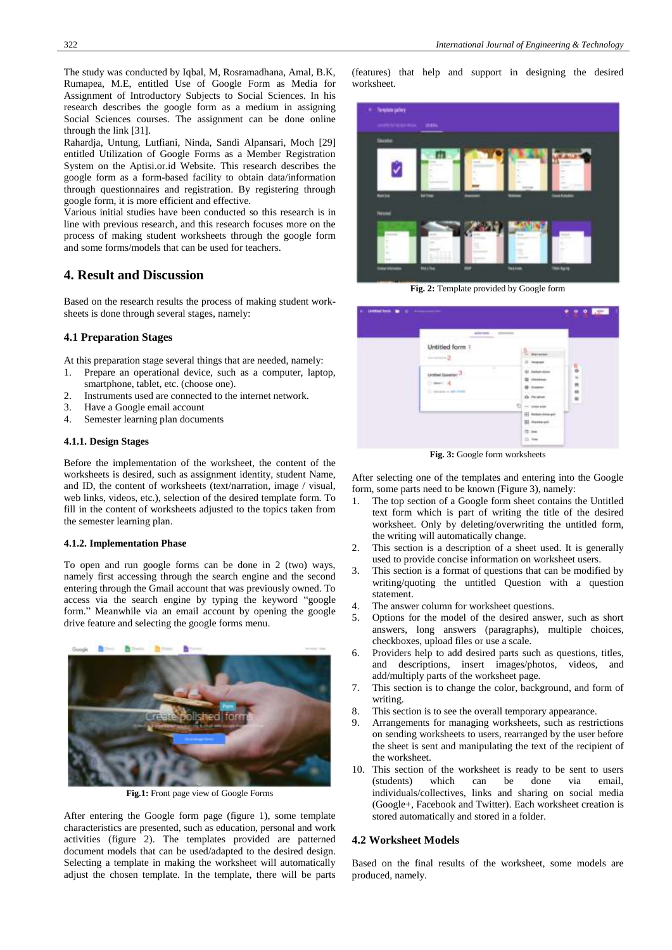The study was conducted by Iqbal, M, Rosramadhana, Amal, B.K, Rumapea, M.E, entitled Use of Google Form as Media for Assignment of Introductory Subjects to Social Sciences. In his research describes the google form as a medium in assigning Social Sciences courses. The assignment can be done online through the link [31].

Rahardja, Untung, Lutfiani, Ninda, Sandi Alpansari, Moch [29] entitled Utilization of Google Forms as a Member Registration System on the Aptisi.or.id Website. This research describes the google form as a form-based facility to obtain data/information through questionnaires and registration. By registering through google form, it is more efficient and effective.

Various initial studies have been conducted so this research is in line with previous research, and this research focuses more on the process of making student worksheets through the google form and some forms/models that can be used for teachers.

# **4. Result and Discussion**

Based on the research results the process of making student worksheets is done through several stages, namely:

## **4.1 Preparation Stages**

At this preparation stage several things that are needed, namely:

- 1. Prepare an operational device, such as a computer, laptop, smartphone, tablet, etc. (choose one).
- 2. Instruments used are connected to the internet network.
- 3. Have a Google email account<br>4. Semester learning plan docum
- Semester learning plan documents

#### **4.1.1. Design Stages**

Before the implementation of the worksheet, the content of the worksheets is desired, such as assignment identity, student Name, and ID, the content of worksheets (text/narration, image / visual, web links, videos, etc.), selection of the desired template form. To fill in the content of worksheets adjusted to the topics taken from the semester learning plan.

#### **4.1.2. Implementation Phase**

To open and run google forms can be done in 2 (two) ways, namely first accessing through the search engine and the second entering through the Gmail account that was previously owned. To access via the search engine by typing the keyword "google form." Meanwhile via an email account by opening the google drive feature and selecting the google forms menu.



**Fig.1:** Front page view of Google Forms

After entering the Google form page (figure 1), some template characteristics are presented, such as education, personal and work activities (figure 2). The templates provided are patterned document models that can be used/adapted to the desired design. Selecting a template in making the worksheet will automatically adjust the chosen template. In the template, there will be parts

(features) that help and support in designing the desired worksheet.



**Fig. 2:** Template provided by Google form

| <b>BURNING</b>                                                       |                                                                  |                         |
|----------------------------------------------------------------------|------------------------------------------------------------------|-------------------------|
| Untitled form 1<br>----                                              | <b>Barbarano</b><br><b>To big last</b>                           |                         |
| ÷<br>Ŧ<br><b>Großlad Gaseban (2)</b><br>Drawing all<br>C-01041 M-148 | (8) exclude stone<br><b>UNANHOLD</b><br>43. Floration            | $0.6 \pm 10$<br>a,<br>× |
|                                                                      | Inc. Green Avenue<br>III Mobile instrument<br><b>III</b> Demesti |                         |

**Fig. 3:** Google form worksheets

After selecting one of the templates and entering into the Google form, some parts need to be known (Figure 3), namely:

- 1. The top section of a Google form sheet contains the Untitled text form which is part of writing the title of the desired worksheet. Only by deleting/overwriting the untitled form, the writing will automatically change.
- 2. This section is a description of a sheet used. It is generally used to provide concise information on worksheet users.
- 3. This section is a format of questions that can be modified by writing/quoting the untitled Question with a question statement.
- 4. The answer column for worksheet questions.
- 5. Options for the model of the desired answer, such as short answers, long answers (paragraphs), multiple choices, checkboxes, upload files or use a scale.
- 6. Providers help to add desired parts such as questions, titles, and descriptions, insert images/photos, videos, and add/multiply parts of the worksheet page.
- 7. This section is to change the color, background, and form of writing.
- 8. This section is to see the overall temporary appearance.
- 9. Arrangements for managing worksheets, such as restrictions on sending worksheets to users, rearranged by the user before the sheet is sent and manipulating the text of the recipient of the worksheet.
- 10. This section of the worksheet is ready to be sent to users (students) which can be done via email, individuals/collectives, links and sharing on social media (Google+, Facebook and Twitter). Each worksheet creation is stored automatically and stored in a folder.

#### **4.2 Worksheet Models**

Based on the final results of the worksheet, some models are produced, namely.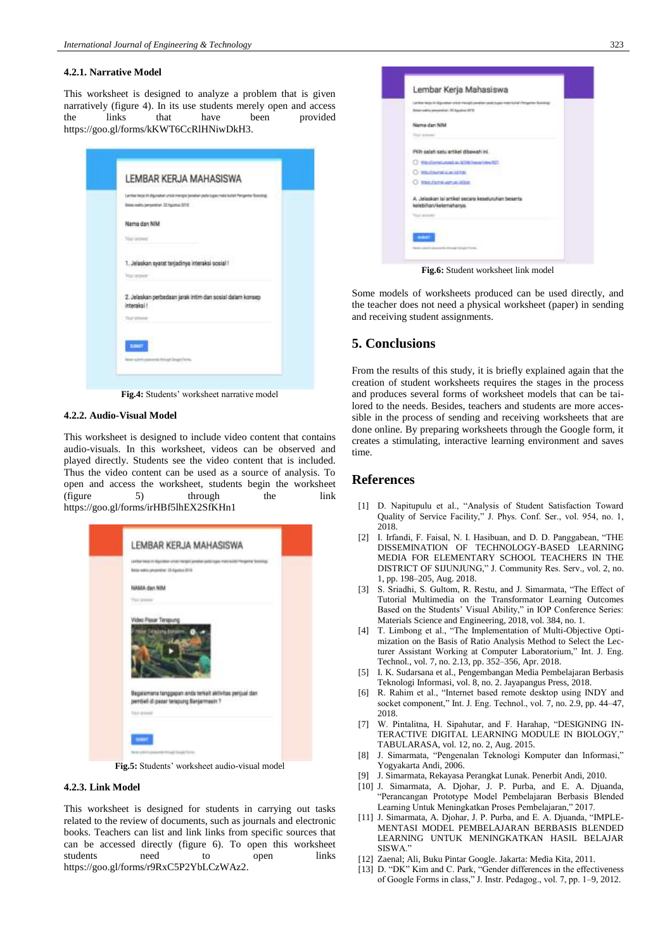#### **4.2.1. Narrative Model**

This worksheet is designed to analyze a problem that is given narratively (figure 4). In its use students merely open and access<br>the links that have been provided the links that have been provided https://goo.gl/forms/kKWT6CcRlHNiwDkH3.

|                             | LEMBAR KERJA MAHASISWA                                                                                                                          |  |
|-----------------------------|-------------------------------------------------------------------------------------------------------------------------------------------------|--|
|                             | Lember techt hit afgunskein untalt mengint (erreformatelningez: meterkuller) Flengenter Sostolingt<br>Rates weekly percentries 12-hypother 3218 |  |
| Nama dan NIM                |                                                                                                                                                 |  |
| Your present                |                                                                                                                                                 |  |
| <b>The street</b>           | 1. Jelaskan syarat terjadinya interaksi sosiali!                                                                                                |  |
| interaksi !<br>Your sitems: | 2. Jelaskan perbedaan jarak intim dan sosial dalam konsep                                                                                       |  |
|                             |                                                                                                                                                 |  |
|                             | have naive a prevents through length Form.                                                                                                      |  |

**Fig.4:** Students' worksheet narrative model

#### **4.2.2. Audio-Visual Model**

This worksheet is designed to include video content that contains audio-visuals. In this worksheet, videos can be observed and played directly. Students see the video content that is included. Thus the video content can be used as a source of analysis. To open and access the worksheet, students begin the worksheet (figure 5) through the link https://goo.gl/forms/irHBf5lhEX2SfKHn1



**Fig.5:** Students' worksheet audio-visual model

#### **4.2.3. Link Model**

This worksheet is designed for students in carrying out tasks related to the review of documents, such as journals and electronic books. Teachers can list and link links from specific sources that can be accessed directly (figure 6). To open this worksheet students need to open links https://goo.gl/forms/r9RxC5P2YbLCzWAz2.



**Fig.6:** Student worksheet link model

Some models of worksheets produced can be used directly, and the teacher does not need a physical worksheet (paper) in sending and receiving student assignments.

## **5. Conclusions**

From the results of this study, it is briefly explained again that the creation of student worksheets requires the stages in the process and produces several forms of worksheet models that can be tailored to the needs. Besides, teachers and students are more accessible in the process of sending and receiving worksheets that are done online. By preparing worksheets through the Google form, it creates a stimulating, interactive learning environment and saves time.

## **References**

- [1] D. Napitupulu et al., "Analysis of Student Satisfaction Toward Quality of Service Facility," J. Phys. Conf. Ser., vol. 954, no. 1, 2018.
- [2] I. Irfandi, F. Faisal, N. I. Hasibuan, and D. D. Panggabean, "THE DISSEMINATION OF TECHNOLOGY-BASED LEARNING MEDIA FOR ELEMENTARY SCHOOL TEACHERS IN THE DISTRICT OF SIJUNJUNG," J. Community Res. Serv., vol. 2, no. 1, pp. 198–205, Aug. 2018.
- [3] S. Sriadhi, S. Gultom, R. Restu, and J. Simarmata, "The Effect of Tutorial Multimedia on the Transformator Learning Outcomes Based on the Students' Visual Ability," in IOP Conference Series: Materials Science and Engineering, 2018, vol. 384, no. 1.
- [4] T. Limbong et al., "The Implementation of Multi-Objective Optimization on the Basis of Ratio Analysis Method to Select the Lecturer Assistant Working at Computer Laboratorium," Int. J. Eng. Technol., vol. 7, no. 2.13, pp. 352–356, Apr. 2018.
- [5] I. K. Sudarsana et al., Pengembangan Media Pembelajaran Berbasis Teknologi Informasi, vol. 8, no. 2. Jayapangus Press, 2018.
- [6] R. Rahim et al., "Internet based remote desktop using INDY and socket component," Int. J. Eng. Technol., vol. 7, no. 2.9, pp. 44–47, 2018.
- [7] W. Pintalitna, H. Sipahutar, and F. Harahap, "DESIGNING IN-TERACTIVE DIGITAL LEARNING MODULE IN BIOLOGY," TABULARASA, vol. 12, no. 2, Aug. 2015.
- [8] J. Simarmata, "Pengenalan Teknologi Komputer dan Informasi," Yogyakarta Andi, 2006.
- [9] J. Simarmata, Rekayasa Perangkat Lunak. Penerbit Andi, 2010.
- [10] J. Simarmata, A. Djohar, J. P. Purba, and E. A. Djuanda, "Perancangan Prototype Model Pembelajaran Berbasis Blended Learning Untuk Meningkatkan Proses Pembelajaran," 2017.
- [11] J. Simarmata, A. Djohar, J. P. Purba, and E. A. Djuanda, "IMPLE-MENTASI MODEL PEMBELAJARAN BERBASIS BLENDED LEARNING UNTUK MENINGKATKAN HASIL BELAJAR SISWA."
- [12] Zaenal; Ali, Buku Pintar Google. Jakarta: Media Kita, 2011.
- [13] D. "DK" Kim and C. Park, "Gender differences in the effectiveness of Google Forms in class," J. Instr. Pedagog., vol. 7, pp. 1–9, 2012.